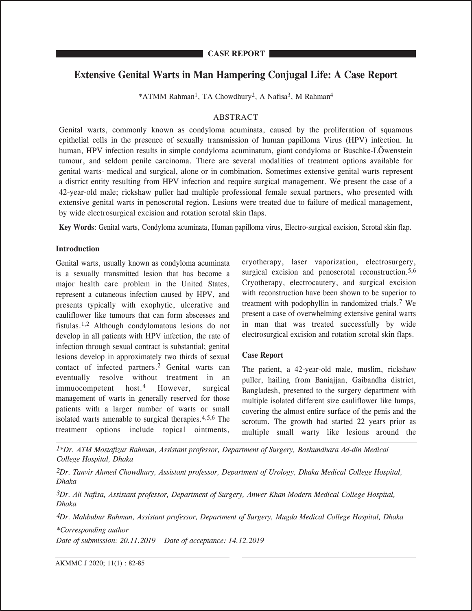# **Extensive Genital Warts in Man Hampering Conjugal Life: A Case Report**

\*ATMM Rahman1, TA Chowdhury2, A Nafisa3, M Rahman4

# ABSTRACT

Genital warts, commonly known as condyloma acuminata, caused by the proliferation of squamous epithelial cells in the presence of sexually transmission of human papilloma Virus (HPV) infection. In human, HPV infection results in simple condyloma acuminatum, giant condyloma or Buschke-LÖwenstein tumour, and seldom penile carcinoma. There are several modalities of treatment options available for genital warts- medical and surgical, alone or in combination. Sometimes extensive genital warts represent a district entity resulting from HPV infection and require surgical management. We present the case of a 42-year-old male; rickshaw puller had multiple professional female sexual partners, who presented with extensive genital warts in penoscrotal region. Lesions were treated due to failure of medical management, by wide electrosurgical excision and rotation scrotal skin flaps.

**Key Words**: Genital warts, Condyloma acuminata, Human papilloma virus, Electro-surgical excision, Scrotal skin flap.

## **Introduction**

**CASE REPORT**

Genital warts, usually known as condyloma acuminata is a sexually transmitted lesion that has become a major health care problem in the United States, represent a cutaneous infection caused by HPV, and presents typically with exophytic, ulcerative and cauliflower like tumours that can form abscesses and fistulas.1,2 Although condylomatous lesions do not develop in all patients with HPV infection, the rate of infection through sexual contract is substantial; genital lesions develop in approximately two thirds of sexual contact of infected partners.2 Genital warts can eventually resolve without treatment in an immuocompetent host.4 However, surgical management of warts in generally reserved for those patients with a larger number of warts or small isolated warts amenable to surgical therapies.4,5,6 The treatment options include topical ointments,

cryotherapy, laser vaporization, electrosurgery, surgical excision and penoscrotal reconstruction.<sup>5,6</sup> Cryotherapy, electrocautery, and surgical excision with reconstruction have been shown to be superior to treatment with podophyllin in randomized trials.7 We present a case of overwhelming extensive genital warts in man that was treated successfully by wide electrosurgical excision and rotation scrotal skin flaps.

# **Case Report**

The patient, a 42-year-old male, muslim, rickshaw puller, hailing from Baniajjan, Gaibandha district, Bangladesh, presented to the surgery department with multiple isolated different size cauliflower like lumps, covering the almost entire surface of the penis and the scrotum. The growth had started 22 years prior as multiple small warty like lesions around the

*1\*Dr. ATM Mostafizur Rahman, Assistant professor, Department of Surgery, Bashundhara Ad-din Medical College Hospital, Dhaka*

*2Dr. Tanvir Ahmed Chowdhury, Assistant professor, Department of Urology, Dhaka Medical College Hospital, Dhaka*

*3Dr. Ali Nafisa, Assistant professor, Department of Surgery, Anwer Khan Modern Medical College Hospital, Dhaka*

*4Dr. Mahbubur Rahman, Assistant professor, Department of Surgery, Mugda Medical College Hospital, Dhaka*

*\*Corresponding author*

*Date of submission: 20.11.2019 Date of acceptance: 14.12.2019*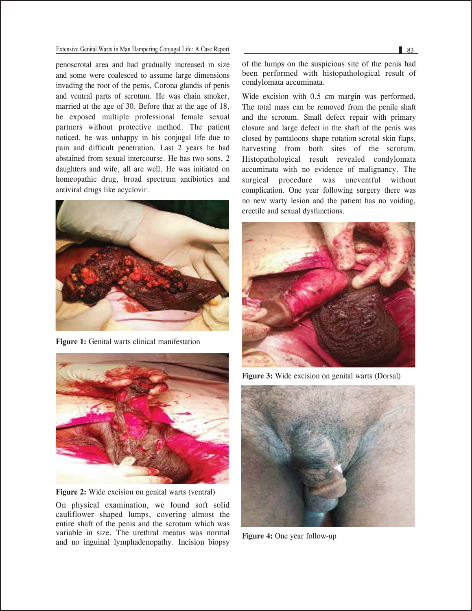#### Extensive Genital Warts in Man Hampering Conjugal Life: A Case Report 83

penoscrotal area and had gradually increased in size and some were coalesced to assume large dimensions invading the root of the penis, Corona glandis of penis and ventral parts of scrotum. He was chain smoker, married at the age of 30. Before that at the age of 18, he exposed multiple professional female sexual partners without protective method. The patient noticed, he was unhappy in his conjugal life due to pain and difficult penetration. Last 2 years he had abstained from sexual intercourse. He has two sons, 2 daughters and wife, all are well. He was initiated on homeopathic drug, broad spectrum antibiotics and antiviral drugs like acyclovir.



**Figure 1:** Genital warts clinical manifestation



**Figure 2:** Wide excision on genital warts (ventral)

On physical examination, we found soft solid cauliflower shaped lumps, covering almost the entire shaft of the penis and the scrotum which was variable in size. The urethral meatus was normal and no inguinal lymphadenopathy. Incision biopsy

Wide excision with 0.5 cm margin was performed. The total mass can be removed from the penile shaft and the scrotum. Small defect repair with primary closure and large defect in the shaft of the penis was closed by pantaloons shape rotation scrotal skin flaps, harvesting from both sites of the scrotum. Histopathological result revealed condylomata accuminata with no evidence of malignancy. The surgical procedure was uneventful without complication. One year following surgery there was no new warty lesion and the patient has no voiding, erectile and sexual dysfunctions.



**Figure 3:** Wide excision on genital warts (Dorsal)



**Figure 4:** One year follow-up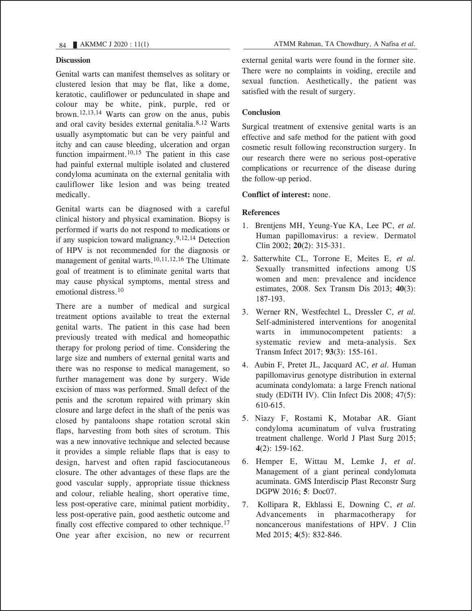### **Discussion**

Genital warts can manifest themselves as solitary or clustered lesion that may be flat, like a dome, keratotic, cauliflower or pedunculated in shape and colour may be white, pink, purple, red or brown.12,13,14 Warts can grow on the anus, pubis and oral cavity besides external genitalia.8,12 Warts usually asymptomatic but can be very painful and itchy and can cause bleeding, ulceration and organ function impairment. $10,15$  The patient in this case had painful external multiple isolated and clustered condyloma acuminata on the external genitalia with cauliflower like lesion and was being treated medically.

Genital warts can be diagnosed with a careful clinical history and physical examination. Biopsy is performed if warts do not respond to medications or if any suspicion toward malignancy.<sup>9,12,14</sup> Detection of HPV is not recommended for the diagnosis or management of genital warts.10,11,12,16 The Ultimate goal of treatment is to eliminate genital warts that may cause physical symptoms, mental stress and emotional distress.10

There are a number of medical and surgical treatment options available to treat the external genital warts. The patient in this case had been previously treated with medical and homeopathic therapy for prolong period of time. Considering the large size and numbers of external genital warts and there was no response to medical management, so further management was done by surgery. Wide excision of mass was performed. Small defect of the penis and the scrotum repaired with primary skin closure and large defect in the shaft of the penis was closed by pantaloons shape rotation scrotal skin flaps, harvesting from both sites of scrotum. This was a new innovative technique and selected because it provides a simple reliable flaps that is easy to design, harvest and often rapid fasciocutaneous closure. The other advantages of these flaps are the good vascular supply, appropriate tissue thickness and colour, reliable healing, short operative time, less post-operative care, minimal patient morbidity, less post-operative pain, good aesthetic outcome and finally cost effective compared to other technique.<sup>17</sup> One year after excision, no new or recurrent external genital warts were found in the former site. There were no complaints in voiding, erectile and sexual function. Aesthetically, the patient was satisfied with the result of surgery.

### **Conclusion**

Surgical treatment of extensive genital warts is an effective and safe method for the patient with good cosmetic result following reconstruction surgery. In our research there were no serious post-operative complications or recurrence of the disease during the follow-up period.

**Conflict of interest:** none.

### **References**

- 1. Brentjens MH, Yeung-Yue KA, Lee PC, *et al.* Human papillomavirus: a review. Dermatol Clin 2002; **20**(2): 315-331.
- 2. Satterwhite CL, Torrone E, Meites E, *et al.* Sexually transmitted infections among US women and men: prevalence and incidence estimates, 2008. Sex Transm Dis 2013; **40**(3): 187-193.
- 3. Werner RN, Westfechtel L, Dressler C, *et al.*  Self-administered interventions for anogenital warts in immunocompetent patients: a systematic review and meta-analysis. Sex Transm Infect 2017; **93**(3): 155-161.
- 4. Aubin F, Pretet JL, Jacquard AC, *et al.* Human papillomavirus genotype distribution in external acuminata condylomata: a large French national study (EDiTH IV). Clin Infect Dis 2008; 47(5): 610-615.
- 5. Niazy F, Rostami K, Motabar AR. Giant condyloma acuminatum of vulva frustrating treatment challenge. World J Plast Surg 2015; **4**(2): 159-162.
- 6. Hemper E, Wittau M, Lemke J, *et al*. Management of a giant perineal condylomata acuminata. GMS Interdiscip Plast Reconstr Surg DGPW 2016; **5**: Doc07.
- 7. Kollipara R, Ekhlassi E, Downing C, *et al.* Advancements in pharmacotherapy for noncancerous manifestations of HPV. J Clin Med 2015; **4**(5): 832-846.